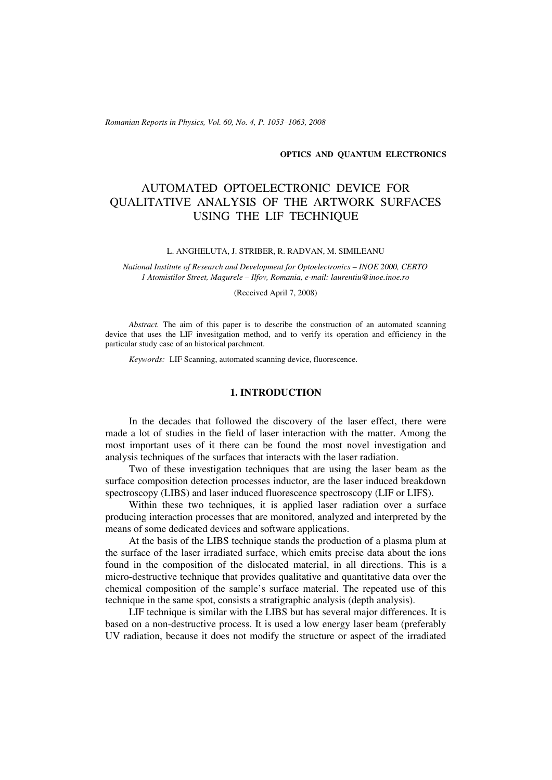*Romanian Reports in Physics, Vol. 60, No. 4, P. 1053–1063, 2008*

### **OPTICS AND QUANTUM ELECTRONICS**

# AUTOMATED OPTOELECTRONIC DEVICE FOR QUALITATIVE ANALYSIS OF THE ARTWORK SURFACES USING THE LIF TECHNIQUE

#### L. ANGHELUTA, J. STRIBER, R. RADVAN, M. SIMILEANU

*National Institute of Research and Development for Optoelectronics – INOE 2000, CERTO 1 Atomistilor Street, Magurele – Ilfov, Romania, e-mail: laurentiu@inoe.inoe.ro*

(Received April 7, 2008)

*Abstract.* The aim of this paper is to describe the construction of an automated scanning device that uses the LIF invesitgation method, and to verify its operation and efficiency in the particular study case of an historical parchment.

*Keywords:* LIF Scanning, automated scanning device, fluorescence.

### **1. INTRODUCTION**

In the decades that followed the discovery of the laser effect, there were made a lot of studies in the field of laser interaction with the matter. Among the most important uses of it there can be found the most novel investigation and analysis techniques of the surfaces that interacts with the laser radiation.

Two of these investigation techniques that are using the laser beam as the surface composition detection processes inductor, are the laser induced breakdown spectroscopy (LIBS) and laser induced fluorescence spectroscopy (LIF or LIFS).

Within these two techniques, it is applied laser radiation over a surface producing interaction processes that are monitored, analyzed and interpreted by the means of some dedicated devices and software applications.

At the basis of the LIBS technique stands the production of a plasma plum at the surface of the laser irradiated surface, which emits precise data about the ions found in the composition of the dislocated material, in all directions. This is a micro-destructive technique that provides qualitative and quantitative data over the chemical composition of the sample's surface material. The repeated use of this technique in the same spot, consists a stratigraphic analysis (depth analysis).

LIF technique is similar with the LIBS but has several major differences. It is based on a non-destructive process. It is used a low energy laser beam (preferably UV radiation, because it does not modify the structure or aspect of the irradiated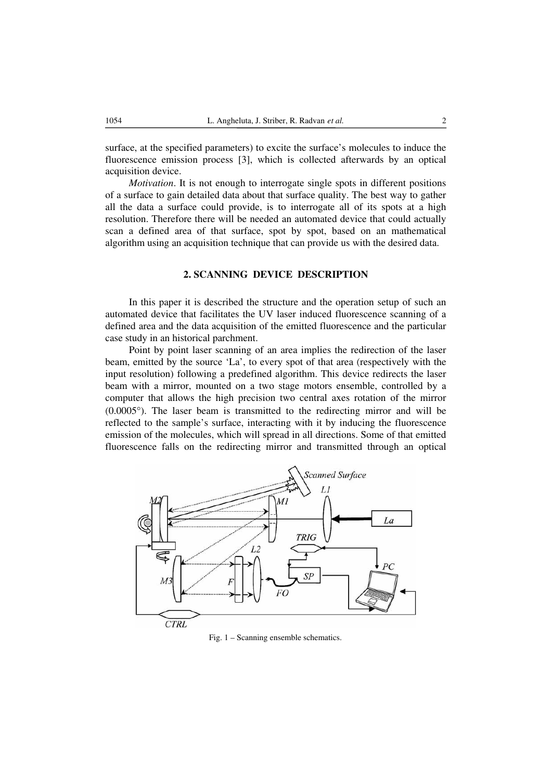surface, at the specified parameters) to excite the surface's molecules to induce the fluorescence emission process [3], which is collected afterwards by an optical acquisition device.

*Motivation*. It is not enough to interrogate single spots in different positions of a surface to gain detailed data about that surface quality. The best way to gather all the data a surface could provide, is to interrogate all of its spots at a high resolution. Therefore there will be needed an automated device that could actually scan a defined area of that surface, spot by spot, based on an mathematical algorithm using an acquisition technique that can provide us with the desired data.

## **2. SCANNING DEVICE DESCRIPTION**

In this paper it is described the structure and the operation setup of such an automated device that facilitates the UV laser induced fluorescence scanning of a defined area and the data acquisition of the emitted fluorescence and the particular case study in an historical parchment.

Point by point laser scanning of an area implies the redirection of the laser beam, emitted by the source 'La', to every spot of that area (respectively with the input resolution) following a predefined algorithm. This device redirects the laser beam with a mirror, mounted on a two stage motors ensemble, controlled by a computer that allows the high precision two central axes rotation of the mirror (0.0005°). The laser beam is transmitted to the redirecting mirror and will be reflected to the sample's surface, interacting with it by inducing the fluorescence emission of the molecules, which will spread in all directions. Some of that emitted fluorescence falls on the redirecting mirror and transmitted through an optical



Fig. 1 – Scanning ensemble schematics.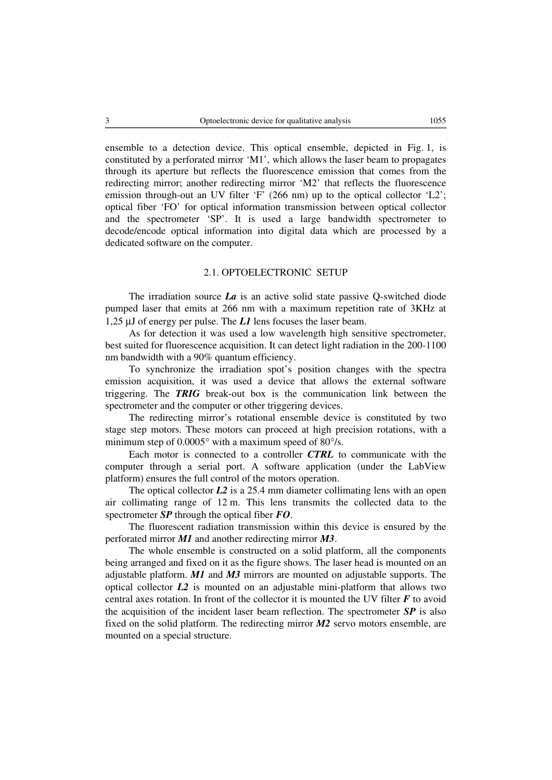ensemble to a detection device. This optical ensemble, depicted in Fig. 1, is constituted by a perforated mirror 'M1', which allows the laser beam to propagates through its aperture but reflects the fluorescence emission that comes from the redirecting mirror; another redirecting mirror 'M2' that reflects the fluorescence emission through-out an UV filter 'F' (266 nm) up to the optical collector 'L2'; optical fiber 'FO' for optical information transmission between optical collector and the spectrometer 'SP'. It is used a large bandwidth spectrometer to decode/encode optical information into digital data which are processed by a dedicated software on the computer.

## 2.1. OPTOELECTRONIC SETUP

The irradiation source *La* is an active solid state passive Q-switched diode pumped laser that emits at 266 nm with a maximum repetition rate of 3KHz at 1,25 μJ of energy per pulse. The *L1* lens focuses the laser beam.

As for detection it was used a low wavelength high sensitive spectrometer, best suited for fluorescence acquisition. It can detect light radiation in the 200-1100 nm bandwidth with a 90% quantum efficiency.

To synchronize the irradiation spot's position changes with the spectra emission acquisition, it was used a device that allows the external software triggering. The *TRIG* break-out box is the communication link between the spectrometer and the computer or other triggering devices.

The redirecting mirror's rotational ensemble device is constituted by two stage step motors. These motors can proceed at high precision rotations, with a minimum step of 0.0005° with a maximum speed of 80°/s.

Each motor is connected to a controller *CTRL* to communicate with the computer through a serial port. A software application (under the LabView platform) ensures the full control of the motors operation.

The optical collector *L2* is a 25.4 mm diameter collimating lens with an open air collimating range of 12 m. This lens transmits the collected data to the spectrometer *SP* through the optical fiber *FO*.

The fluorescent radiation transmission within this device is ensured by the perforated mirror *M1* and another redirecting mirror *M3*.

The whole ensemble is constructed on a solid platform, all the components being arranged and fixed on it as the figure shows. The laser head is mounted on an adjustable platform. *M1* and *M3* mirrors are mounted on adjustable supports. The optical collector *L2* is mounted on an adjustable mini-platform that allows two central axes rotation. In front of the collector it is mounted the UV filter *F* to avoid the acquisition of the incident laser beam reflection. The spectrometer *SP* is also fixed on the solid platform. The redirecting mirror *M2* servo motors ensemble, are mounted on a special structure.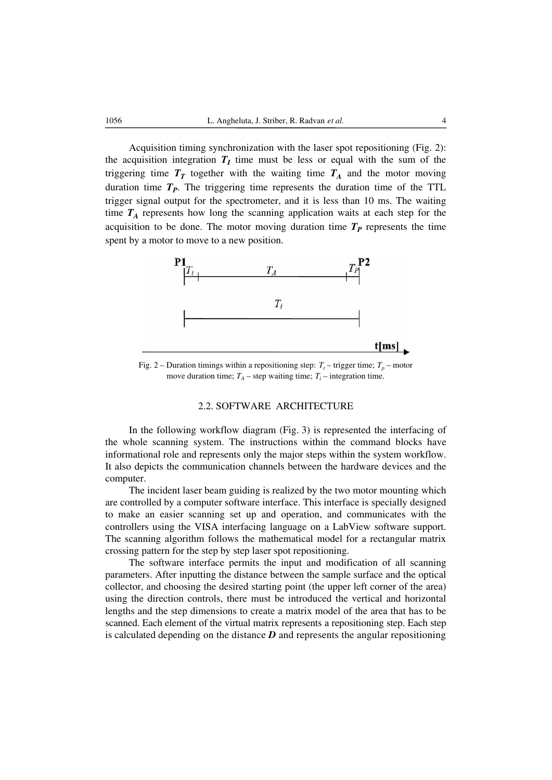Acquisition timing synchronization with the laser spot repositioning (Fig. 2): the acquisition integration  $T_I$  time must be less or equal with the sum of the triggering time  $T_T$  together with the waiting time  $T_A$  and the motor moving duration time  $T_p$ . The triggering time represents the duration time of the TTL trigger signal output for the spectrometer, and it is less than 10 ms. The waiting time  $T_A$  represents how long the scanning application waits at each step for the acquisition to be done. The motor moving duration time  $T_p$  represents the time spent by a motor to move to a new position.



Fig. 2 – Duration timings within a repositioning step:  $T_t$  – trigger time;  $T_p$  – motor move duration time;  $T_A$  – step waiting time;  $T_i$  – integration time.

#### 2.2. SOFTWARE ARCHITECTURE

In the following workflow diagram (Fig. 3) is represented the interfacing of the whole scanning system. The instructions within the command blocks have informational role and represents only the major steps within the system workflow. It also depicts the communication channels between the hardware devices and the computer.

The incident laser beam guiding is realized by the two motor mounting which are controlled by a computer software interface. This interface is specially designed to make an easier scanning set up and operation, and communicates with the controllers using the VISA interfacing language on a LabView software support. The scanning algorithm follows the mathematical model for a rectangular matrix crossing pattern for the step by step laser spot repositioning.

The software interface permits the input and modification of all scanning parameters. After inputting the distance between the sample surface and the optical collector, and choosing the desired starting point (the upper left corner of the area) using the direction controls, there must be introduced the vertical and horizontal lengths and the step dimensions to create a matrix model of the area that has to be scanned. Each element of the virtual matrix represents a repositioning step. Each step is calculated depending on the distance *D* and represents the angular repositioning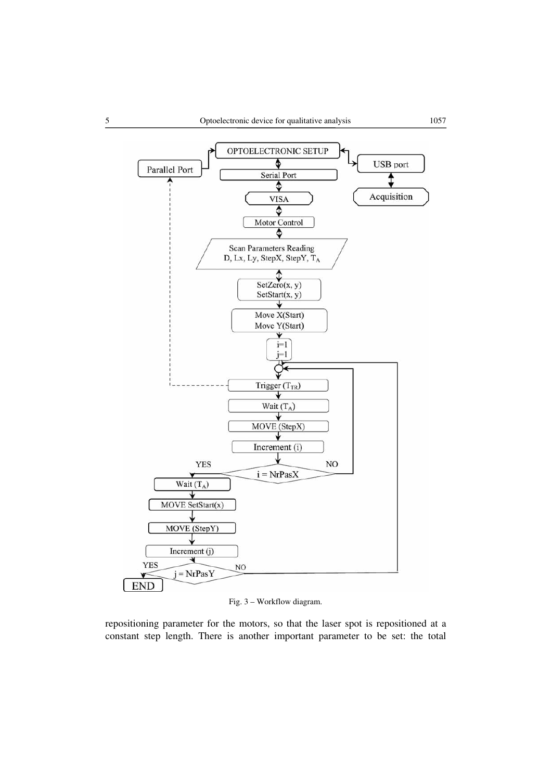

Fig. 3 – Workflow diagram.

repositioning parameter for the motors, so that the laser spot is repositioned at a constant step length. There is another important parameter to be set: the total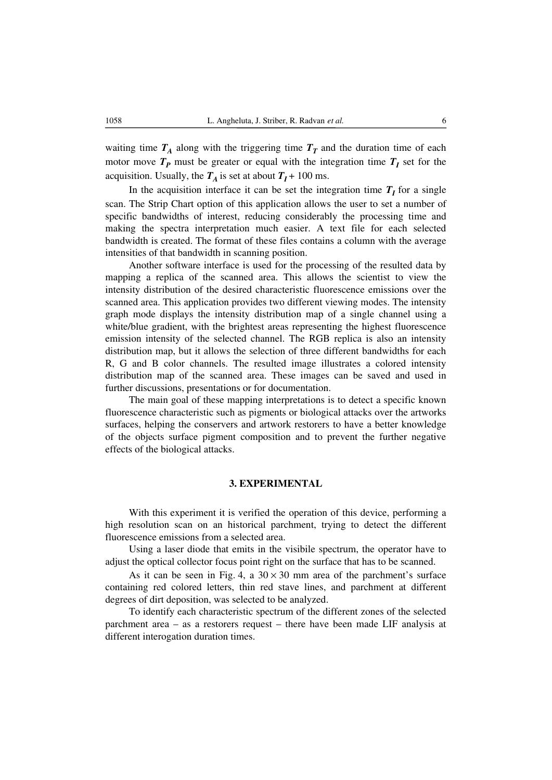waiting time  $T_A$  along with the triggering time  $T_T$  and the duration time of each motor move  $T_P$  must be greater or equal with the integration time  $T_I$  set for the acquisition. Usually, the  $T_A$  is set at about  $T_I + 100$  ms.

In the acquisition interface it can be set the integration time  $T_I$  for a single scan. The Strip Chart option of this application allows the user to set a number of specific bandwidths of interest, reducing considerably the processing time and making the spectra interpretation much easier. A text file for each selected bandwidth is created. The format of these files contains a column with the average intensities of that bandwidth in scanning position.

Another software interface is used for the processing of the resulted data by mapping a replica of the scanned area. This allows the scientist to view the intensity distribution of the desired characteristic fluorescence emissions over the scanned area. This application provides two different viewing modes. The intensity graph mode displays the intensity distribution map of a single channel using a white/blue gradient, with the brightest areas representing the highest fluorescence emission intensity of the selected channel. The RGB replica is also an intensity distribution map, but it allows the selection of three different bandwidths for each R, G and B color channels. The resulted image illustrates a colored intensity distribution map of the scanned area. These images can be saved and used in further discussions, presentations or for documentation.

The main goal of these mapping interpretations is to detect a specific known fluorescence characteristic such as pigments or biological attacks over the artworks surfaces, helping the conservers and artwork restorers to have a better knowledge of the objects surface pigment composition and to prevent the further negative effects of the biological attacks.

#### **3. EXPERIMENTAL**

With this experiment it is verified the operation of this device, performing a high resolution scan on an historical parchment, trying to detect the different fluorescence emissions from a selected area.

Using a laser diode that emits in the visibile spectrum, the operator have to adjust the optical collector focus point right on the surface that has to be scanned.

As it can be seen in Fig. 4, a  $30 \times 30$  mm area of the parchment's surface containing red colored letters, thin red stave lines, and parchment at different degrees of dirt deposition, was selected to be analyzed.

To identify each characteristic spectrum of the different zones of the selected parchment area – as a restorers request – there have been made LIF analysis at different interogation duration times.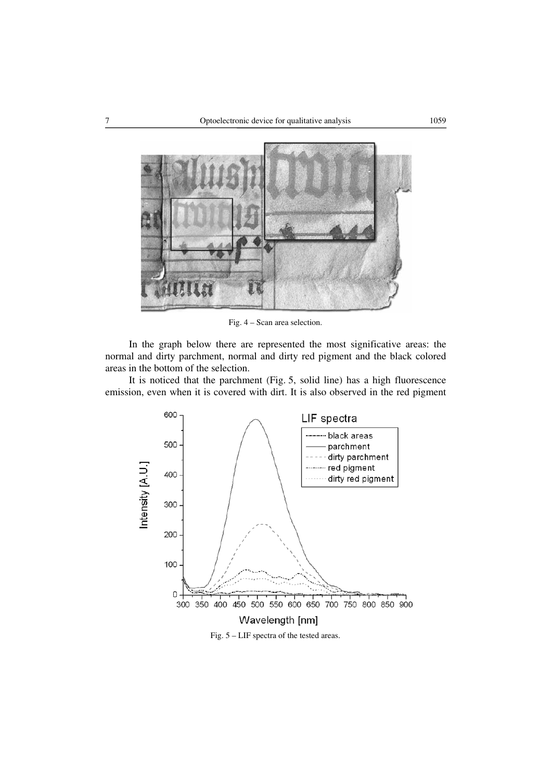

Fig. 4 – Scan area selection.

In the graph below there are represented the most significative areas: the normal and dirty parchment, normal and dirty red pigment and the black colored areas in the bottom of the selection.

It is noticed that the parchment (Fig. 5, solid line) has a high fluorescence emission, even when it is covered with dirt. It is also observed in the red pigment



Fig. 5 – LIF spectra of the tested areas.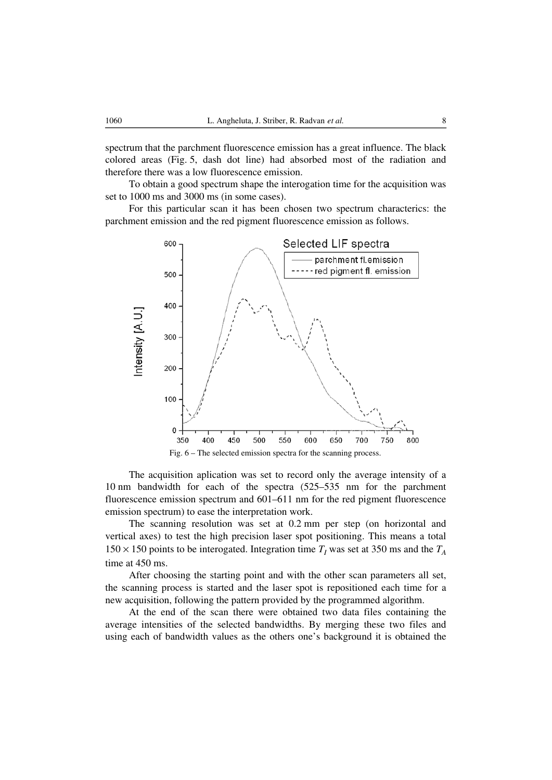spectrum that the parchment fluorescence emission has a great influence. The black colored areas (Fig. 5, dash dot line) had absorbed most of the radiation and therefore there was a low fluorescence emission.

To obtain a good spectrum shape the interogation time for the acquisition was set to 1000 ms and 3000 ms (in some cases).

For this particular scan it has been chosen two spectrum characterics: the parchment emission and the red pigment fluorescence emission as follows.



The acquisition aplication was set to record only the average intensity of a 10 nm bandwidth for each of the spectra (525–535 nm for the parchment fluorescence emission spectrum and 601–611 nm for the red pigment fluorescence emission spectrum) to ease the interpretation work.

The scanning resolution was set at 0.2 mm per step (on horizontal and vertical axes) to test the high precision laser spot positioning. This means a total  $150 \times 150$  points to be interogated. Integration time  $T_I$  was set at 350 ms and the  $T_A$ time at 450 ms.

After choosing the starting point and with the other scan parameters all set, the scanning process is started and the laser spot is repositioned each time for a new acquisition, following the pattern provided by the programmed algorithm.

At the end of the scan there were obtained two data files containing the average intensities of the selected bandwidths. By merging these two files and using each of bandwidth values as the others one's background it is obtained the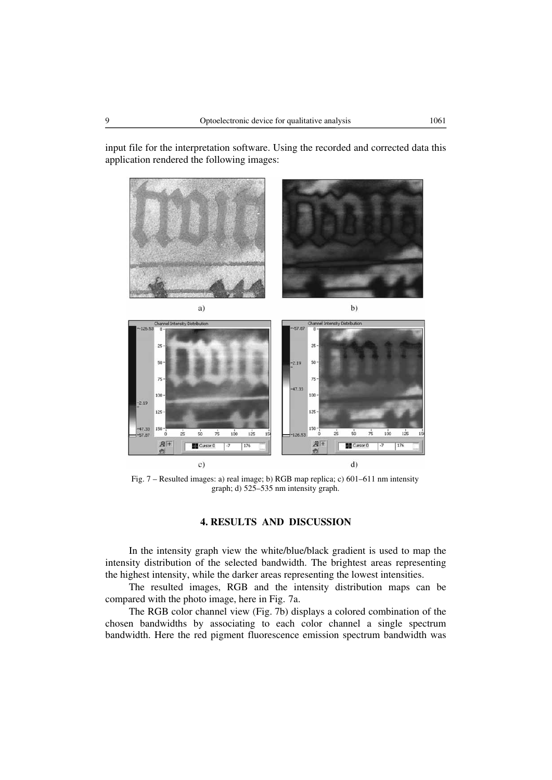input file for the interpretation software. Using the recorded and corrected data this application rendered the following images:



Fig. 7 – Resulted images: a) real image; b) RGB map replica; c) 601–611 nm intensity graph; d) 525–535 nm intensity graph.

## **4. RESULTS AND DISCUSSION**

In the intensity graph view the white/blue/black gradient is used to map the intensity distribution of the selected bandwidth. The brightest areas representing the highest intensity, while the darker areas representing the lowest intensities.

The resulted images, RGB and the intensity distribution maps can be compared with the photo image, here in Fig. 7a.

The RGB color channel view (Fig. 7b) displays a colored combination of the chosen bandwidths by associating to each color channel a single spectrum bandwidth. Here the red pigment fluorescence emission spectrum bandwidth was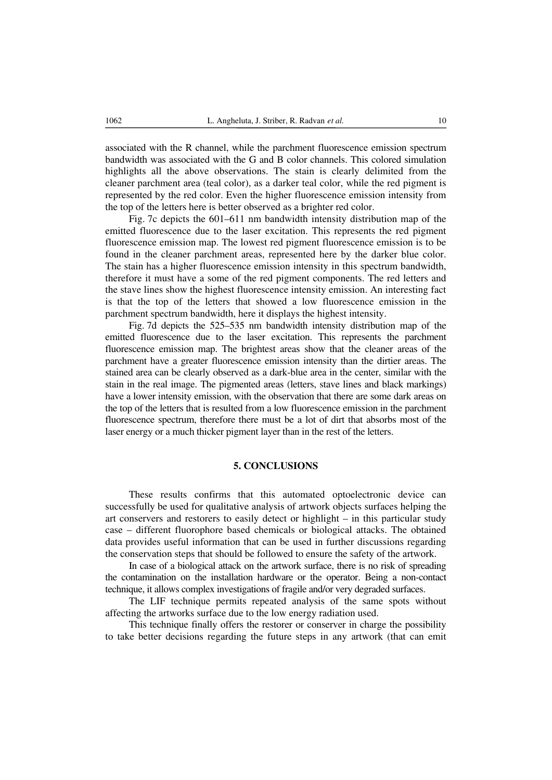associated with the R channel, while the parchment fluorescence emission spectrum bandwidth was associated with the G and B color channels. This colored simulation highlights all the above observations. The stain is clearly delimited from the cleaner parchment area (teal color), as a darker teal color, while the red pigment is represented by the red color. Even the higher fluorescence emission intensity from the top of the letters here is better observed as a brighter red color.

Fig. 7c depicts the 601–611 nm bandwidth intensity distribution map of the emitted fluorescence due to the laser excitation. This represents the red pigment fluorescence emission map. The lowest red pigment fluorescence emission is to be found in the cleaner parchment areas, represented here by the darker blue color. The stain has a higher fluorescence emission intensity in this spectrum bandwidth, therefore it must have a some of the red pigment components. The red letters and the stave lines show the highest fluorescence intensity emission. An interesting fact is that the top of the letters that showed a low fluorescence emission in the parchment spectrum bandwidth, here it displays the highest intensity.

Fig. 7d depicts the 525–535 nm bandwidth intensity distribution map of the emitted fluorescence due to the laser excitation. This represents the parchment fluorescence emission map. The brightest areas show that the cleaner areas of the parchment have a greater fluorescence emission intensity than the dirtier areas. The stained area can be clearly observed as a dark-blue area in the center, similar with the stain in the real image. The pigmented areas (letters, stave lines and black markings) have a lower intensity emission, with the observation that there are some dark areas on the top of the letters that is resulted from a low fluorescence emission in the parchment fluorescence spectrum, therefore there must be a lot of dirt that absorbs most of the laser energy or a much thicker pigment layer than in the rest of the letters.

#### **5. CONCLUSIONS**

These results confirms that this automated optoelectronic device can successfully be used for qualitative analysis of artwork objects surfaces helping the art conservers and restorers to easily detect or highlight – in this particular study case – different fluorophore based chemicals or biological attacks. The obtained data provides useful information that can be used in further discussions regarding the conservation steps that should be followed to ensure the safety of the artwork.

In case of a biological attack on the artwork surface, there is no risk of spreading the contamination on the installation hardware or the operator. Being a non-contact technique, it allows complex investigations of fragile and/or very degraded surfaces.

The LIF technique permits repeated analysis of the same spots without affecting the artworks surface due to the low energy radiation used.

This technique finally offers the restorer or conserver in charge the possibility to take better decisions regarding the future steps in any artwork (that can emit